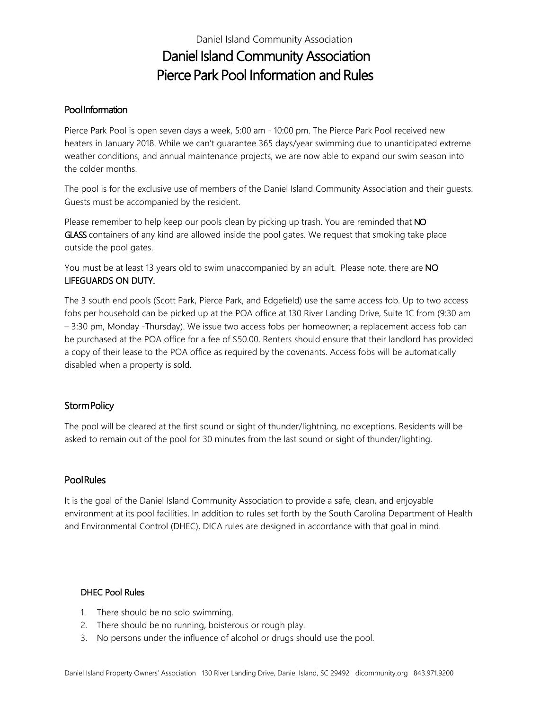# Daniel Island Community Association Daniel Island Community Association Pierce Park Pool Information and Rules

### Pool Information

Pierce Park Pool is open seven days a week, 5:00 am - 10:00 pm. The Pierce Park Pool received new heaters in January 2018. While we can't guarantee 365 days/year swimming due to unanticipated extreme weather conditions, and annual maintenance projects, we are now able to expand our swim season into the colder months.

The pool is for the exclusive use of members of the Daniel Island Community Association and their guests. Guests must be accompanied by the resident.

Please remember to help keep our pools clean by picking up trash. You are reminded that NO GLASS containers of any kind are allowed inside the pool gates. We request that smoking take place outside the pool gates.

You must be at least 13 years old to swim unaccompanied by an adult. Please note, there are NO LIFEGUARDS ON DUTY.

The 3 south end pools (Scott Park, Pierce Park, and Edgefield) use the same access fob. Up to two access fobs per household can be picked up at the POA office at 130 River Landing Drive, Suite 1C from (9:30 am – 3:30 pm, Monday -Thursday). We issue two access fobs per homeowner; a replacement access fob can be purchased at the POA office for a fee of \$50.00. Renters should ensure that their landlord has provided a copy of their lease to the POA office as required by the covenants. Access fobs will be automatically disabled when a property is sold.

#### Storm Policy

The pool will be cleared at the first sound or sight of thunder/lightning, no exceptions. Residents will be asked to remain out of the pool for 30 minutes from the last sound or sight of thunder/lighting.

#### **Pool Rules**

It is the goal of the Daniel Island Community Association to provide a safe, clean, and enjoyable environment at its pool facilities. In addition to rules set forth by the South Carolina Department of Health and Environmental Control (DHEC), DICA rules are designed in accordance with that goal in mind.

#### DHEC Pool Rules

- 1. There should be no solo swimming.
- 2. There should be no running, boisterous or rough play.
- 3. No persons under the influence of alcohol or drugs should use the pool.